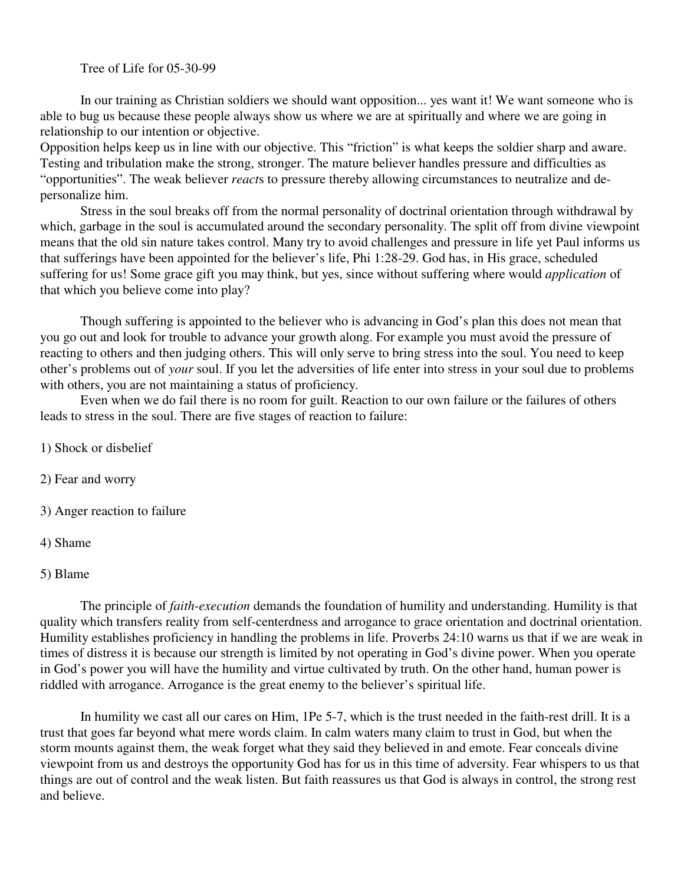Tree of Life for 05-30-99

In our training as Christian soldiers we should want opposition... yes want it! We want someone who is able to bug us because these people always show us where we are at spiritually and where we are going in relationship to our intention or objective.

Opposition helps keep us in line with our objective. This "friction" is what keeps the soldier sharp and aware. Testing and tribulation make the strong, stronger. The mature believer handles pressure and difficulties as "opportunities". The weak believer *react*s to pressure thereby allowing circumstances to neutralize and depersonalize him.

Stress in the soul breaks off from the normal personality of doctrinal orientation through withdrawal by which, garbage in the soul is accumulated around the secondary personality. The split off from divine viewpoint means that the old sin nature takes control. Many try to avoid challenges and pressure in life yet Paul informs us that sufferings have been appointed for the believer's life, Phi 1:28-29. God has, in His grace, scheduled suffering for us! Some grace gift you may think, but yes, since without suffering where would *application* of that which you believe come into play?

Though suffering is appointed to the believer who is advancing in God's plan this does not mean that you go out and look for trouble to advance your growth along. For example you must avoid the pressure of reacting to others and then judging others. This will only serve to bring stress into the soul. You need to keep other's problems out of *your* soul. If you let the adversities of life enter into stress in your soul due to problems with others, you are not maintaining a status of proficiency.

Even when we do fail there is no room for guilt. Reaction to our own failure or the failures of others leads to stress in the soul. There are five stages of reaction to failure:

1) Shock or disbelief

2) Fear and worry

3) Anger reaction to failure

4) Shame

5) Blame

The principle of *faith-execution* demands the foundation of humility and understanding. Humility is that quality which transfers reality from self-centerdness and arrogance to grace orientation and doctrinal orientation. Humility establishes proficiency in handling the problems in life. Proverbs 24:10 warns us that if we are weak in times of distress it is because our strength is limited by not operating in God's divine power. When you operate in God's power you will have the humility and virtue cultivated by truth. On the other hand, human power is riddled with arrogance. Arrogance is the great enemy to the believer's spiritual life.

In humility we cast all our cares on Him, 1Pe 5-7, which is the trust needed in the faith-rest drill. It is a trust that goes far beyond what mere words claim. In calm waters many claim to trust in God, but when the storm mounts against them, the weak forget what they said they believed in and emote. Fear conceals divine viewpoint from us and destroys the opportunity God has for us in this time of adversity. Fear whispers to us that things are out of control and the weak listen. But faith reassures us that God is always in control, the strong rest and believe.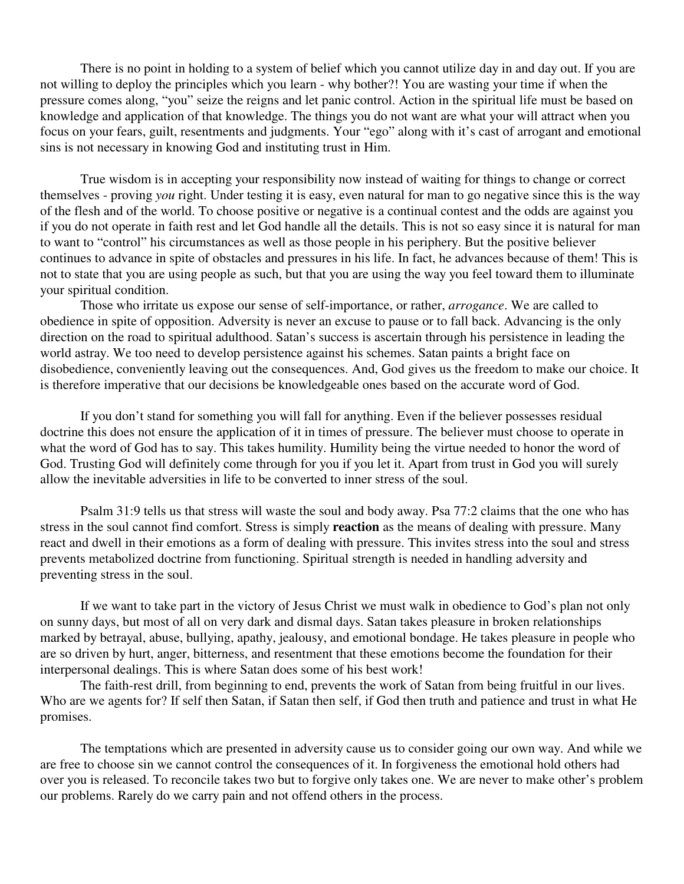There is no point in holding to a system of belief which you cannot utilize day in and day out. If you are not willing to deploy the principles which you learn - why bother?! You are wasting your time if when the pressure comes along, "you" seize the reigns and let panic control. Action in the spiritual life must be based on knowledge and application of that knowledge. The things you do not want are what your will attract when you focus on your fears, guilt, resentments and judgments. Your "ego" along with it's cast of arrogant and emotional sins is not necessary in knowing God and instituting trust in Him.

True wisdom is in accepting your responsibility now instead of waiting for things to change or correct themselves - proving *you* right. Under testing it is easy, even natural for man to go negative since this is the way of the flesh and of the world. To choose positive or negative is a continual contest and the odds are against you if you do not operate in faith rest and let God handle all the details. This is not so easy since it is natural for man to want to "control" his circumstances as well as those people in his periphery. But the positive believer continues to advance in spite of obstacles and pressures in his life. In fact, he advances because of them! This is not to state that you are using people as such, but that you are using the way you feel toward them to illuminate your spiritual condition.

Those who irritate us expose our sense of self-importance, or rather, *arrogance*. We are called to obedience in spite of opposition. Adversity is never an excuse to pause or to fall back. Advancing is the only direction on the road to spiritual adulthood. Satan's success is ascertain through his persistence in leading the world astray. We too need to develop persistence against his schemes. Satan paints a bright face on disobedience, conveniently leaving out the consequences. And, God gives us the freedom to make our choice. It is therefore imperative that our decisions be knowledgeable ones based on the accurate word of God.

If you don't stand for something you will fall for anything. Even if the believer possesses residual doctrine this does not ensure the application of it in times of pressure. The believer must choose to operate in what the word of God has to say. This takes humility. Humility being the virtue needed to honor the word of God. Trusting God will definitely come through for you if you let it. Apart from trust in God you will surely allow the inevitable adversities in life to be converted to inner stress of the soul.

Psalm 31:9 tells us that stress will waste the soul and body away. Psa 77:2 claims that the one who has stress in the soul cannot find comfort. Stress is simply **reaction** as the means of dealing with pressure. Many react and dwell in their emotions as a form of dealing with pressure. This invites stress into the soul and stress prevents metabolized doctrine from functioning. Spiritual strength is needed in handling adversity and preventing stress in the soul.

If we want to take part in the victory of Jesus Christ we must walk in obedience to God's plan not only on sunny days, but most of all on very dark and dismal days. Satan takes pleasure in broken relationships marked by betrayal, abuse, bullying, apathy, jealousy, and emotional bondage. He takes pleasure in people who are so driven by hurt, anger, bitterness, and resentment that these emotions become the foundation for their interpersonal dealings. This is where Satan does some of his best work!

The faith-rest drill, from beginning to end, prevents the work of Satan from being fruitful in our lives. Who are we agents for? If self then Satan, if Satan then self, if God then truth and patience and trust in what He promises.

The temptations which are presented in adversity cause us to consider going our own way. And while we are free to choose sin we cannot control the consequences of it. In forgiveness the emotional hold others had over you is released. To reconcile takes two but to forgive only takes one. We are never to make other's problem our problems. Rarely do we carry pain and not offend others in the process.